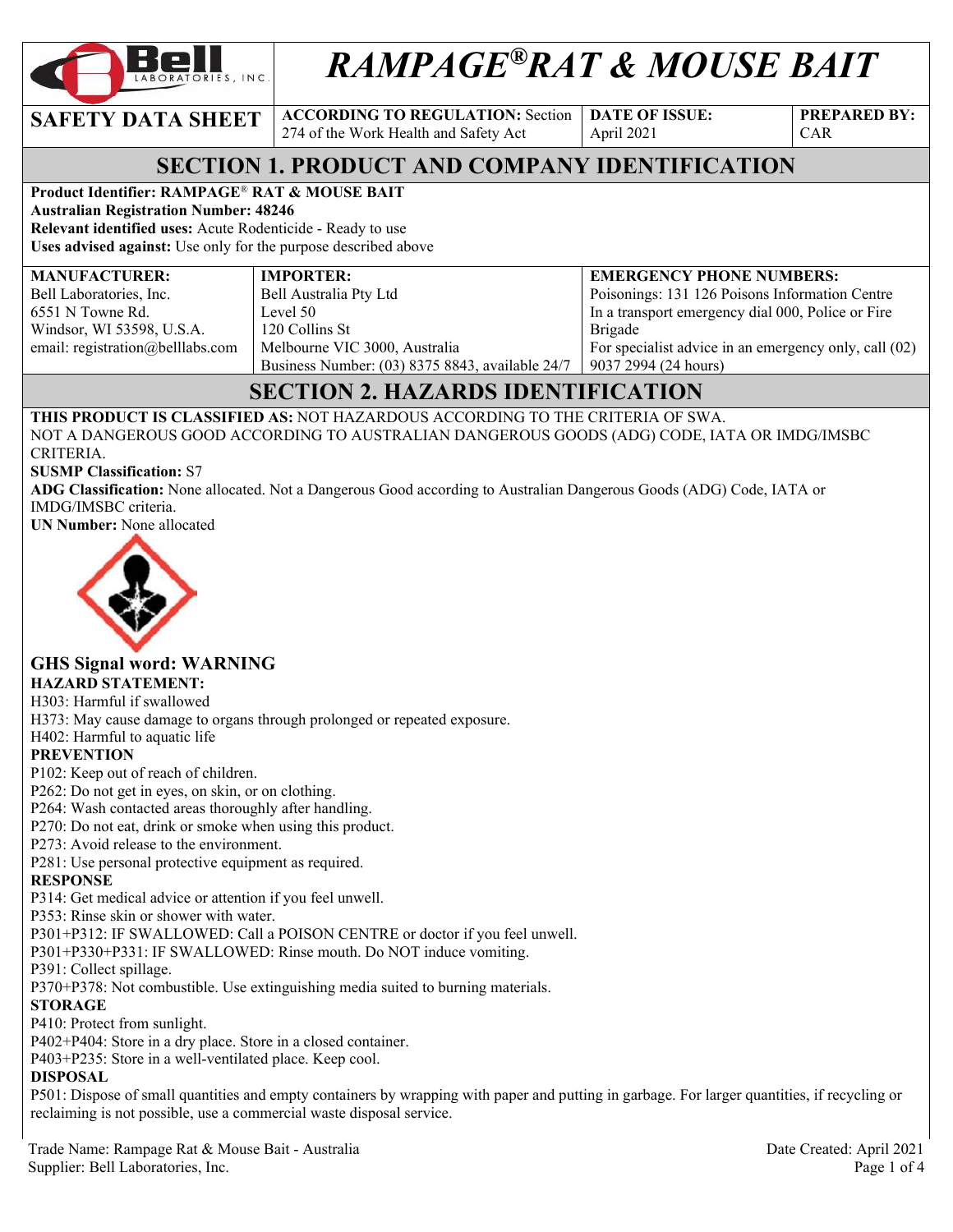

# *RAMPAGE®RAT & MOUSE BAIT*

**SAFETY DATA SHEET ACCORDING TO REGULATION:** Section 274 of the Work Health and Safety Act

**DATE OF ISSUE:**  April 2021

**PREPARED BY:**  CAR

# **SECTION 1. PRODUCT AND COMPANY IDENTIFICATION**

### **Product Identifier: RAMPAGE**® **RAT & MOUSE BAIT**

**Australian Registration Number: 48246 Relevant identified uses:** Acute Rodenticide - Ready to use

**Uses advised against:** Use only for the purpose described above

#### **MANUFACTURER:**

Bell Laboratories, Inc. 6551 N Towne Rd. Windsor, WI 53598, U.S.A. email: registration@belllabs.com

**IMPORTER:**  Bell Australia Pty Ltd Level 50 120 Collins St Melbourne VIC 3000, Australia Business Number: (03) 8375 8843, available 24/7

**EMERGENCY PHONE NUMBERS:**  Poisonings: 131 126 Poisons Information Centre In a transport emergency dial 000, Police or Fire Brigade For specialist advice in an emergency only, call (02) 9037 2994 (24 hours)

# **SECTION 2. HAZARDS IDENTIFICATION**

**THIS PRODUCT IS CLASSIFIED AS:** NOT HAZARDOUS ACCORDING TO THE CRITERIA OF SWA. NOT A DANGEROUS GOOD ACCORDING TO AUSTRALIAN DANGEROUS GOODS (ADG) CODE, IATA OR IMDG/IMSBC CRITERIA.

#### **SUSMP Classification:** S7

**ADG Classification:** None allocated. Not a Dangerous Good according to Australian Dangerous Goods (ADG) Code, IATA or IMDG/IMSBC criteria.

**UN Number:** None allocated



#### **GHS Signal word: WARNING HAZARD STATEMENT:**

### H303: Harmful if swallowed

H373: May cause damage to organs through prolonged or repeated exposure.

H402: Harmful to aquatic life

#### **PREVENTION**

P102: Keep out of reach of children.

P262: Do not get in eyes, on skin, or on clothing.

P264: Wash contacted areas thoroughly after handling.

P270: Do not eat, drink or smoke when using this product.

P273: Avoid release to the environment.

P281: Use personal protective equipment as required.

#### **RESPONSE**

P314: Get medical advice or attention if you feel unwell.

P353: Rinse skin or shower with water.

P301+P312: IF SWALLOWED: Call a POISON CENTRE or doctor if you feel unwell.

P301+P330+P331: IF SWALLOWED: Rinse mouth. Do NOT induce vomiting.

P391: Collect spillage.

P370+P378: Not combustible. Use extinguishing media suited to burning materials.

#### **STORAGE**

P410: Protect from sunlight.

P402+P404: Store in a dry place. Store in a closed container.

P403+P235: Store in a well-ventilated place. Keep cool.

### **DISPOSAL**

P501: Dispose of small quantities and empty containers by wrapping with paper and putting in garbage. For larger quantities, if recycling or reclaiming is not possible, use a commercial waste disposal service.

Trade Name: Rampage Rat & Mouse Bait - Australia Date Created: April 2021 Supplier: Bell Laboratories, Inc. Page 1 of 4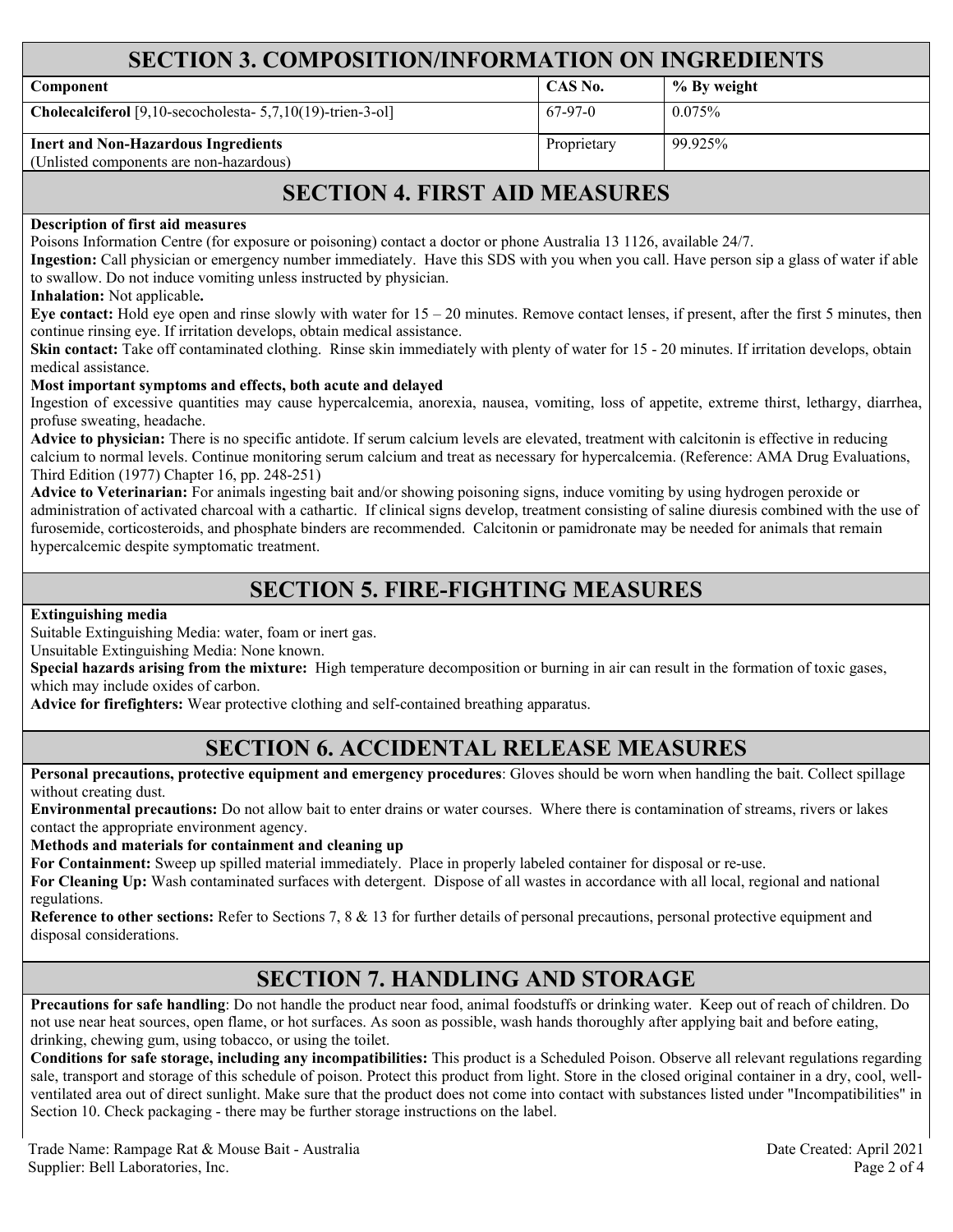### **SECTION 3. COMPOSITION/INFORMATION ON INGREDIENTS**

| Component                                                                             | CAS No.     | % By weight |
|---------------------------------------------------------------------------------------|-------------|-------------|
| Cholecalciferol [9,10-secocholesta- 5,7,10(19)-trien-3-ol]                            | 67-97-0     | 0.075%      |
| <b>Inert and Non-Hazardous Ingredients</b><br>(Unlisted components are non-hazardous) | Proprietary | 99.925%     |

### **SECTION 4. FIRST AID MEASURES**

#### **Description of first aid measures**

Poisons Information Centre (for exposure or poisoning) contact a doctor or phone Australia 13 1126, available 24/7.

**Ingestion:** Call physician or emergency number immediately. Have this SDS with you when you call. Have person sip a glass of water if able to swallow. Do not induce vomiting unless instructed by physician.

**Inhalation:** Not applicable**.** 

**Eye contact:** Hold eye open and rinse slowly with water for 15 – 20 minutes. Remove contact lenses, if present, after the first 5 minutes, then continue rinsing eye. If irritation develops, obtain medical assistance.

Skin contact: Take off contaminated clothing. Rinse skin immediately with plenty of water for 15 - 20 minutes. If irritation develops, obtain medical assistance.

#### **Most important symptoms and effects, both acute and delayed**

Ingestion of excessive quantities may cause hypercalcemia, anorexia, nausea, vomiting, loss of appetite, extreme thirst, lethargy, diarrhea, profuse sweating, headache.

**Advice to physician:** There is no specific antidote. If serum calcium levels are elevated, treatment with calcitonin is effective in reducing calcium to normal levels. Continue monitoring serum calcium and treat as necessary for hypercalcemia. (Reference: AMA Drug Evaluations, Third Edition (1977) Chapter 16, pp. 248-251)

**Advice to Veterinarian:** For animals ingesting bait and/or showing poisoning signs, induce vomiting by using hydrogen peroxide or administration of activated charcoal with a cathartic. If clinical signs develop, treatment consisting of saline diuresis combined with the use of furosemide, corticosteroids, and phosphate binders are recommended. Calcitonin or pamidronate may be needed for animals that remain hypercalcemic despite symptomatic treatment.

### **SECTION 5. FIRE-FIGHTING MEASURES**

**Extinguishing media**

Suitable Extinguishing Media: water, foam or inert gas.

Unsuitable Extinguishing Media: None known.

**Special hazards arising from the mixture:** High temperature decomposition or burning in air can result in the formation of toxic gases, which may include oxides of carbon.

**Advice for firefighters:** Wear protective clothing and self-contained breathing apparatus.

### **SECTION 6. ACCIDENTAL RELEASE MEASURES**

**Personal precautions, protective equipment and emergency procedures**: Gloves should be worn when handling the bait. Collect spillage without creating dust.

**Environmental precautions:** Do not allow bait to enter drains or water courses. Where there is contamination of streams, rivers or lakes contact the appropriate environment agency.

**Methods and materials for containment and cleaning up**

**For Containment:** Sweep up spilled material immediately. Place in properly labeled container for disposal or re-use.

**For Cleaning Up:** Wash contaminated surfaces with detergent. Dispose of all wastes in accordance with all local, regional and national regulations.

**Reference to other sections:** Refer to Sections 7, 8 & 13 for further details of personal precautions, personal protective equipment and disposal considerations.

### **SECTION 7. HANDLING AND STORAGE**

**Precautions for safe handling**: Do not handle the product near food, animal foodstuffs or drinking water. Keep out of reach of children. Do not use near heat sources, open flame, or hot surfaces. As soon as possible, wash hands thoroughly after applying bait and before eating, drinking, chewing gum, using tobacco, or using the toilet.

**Conditions for safe storage, including any incompatibilities:** This product is a Scheduled Poison. Observe all relevant regulations regarding sale, transport and storage of this schedule of poison. Protect this product from light. Store in the closed original container in a dry, cool, wellventilated area out of direct sunlight. Make sure that the product does not come into contact with substances listed under "Incompatibilities" in Section 10. Check packaging - there may be further storage instructions on the label.

Trade Name: Rampage Rat & Mouse Bait - Australia Date Created: April 2021 Supplier: Bell Laboratories, Inc. 2006 Page 2 of 4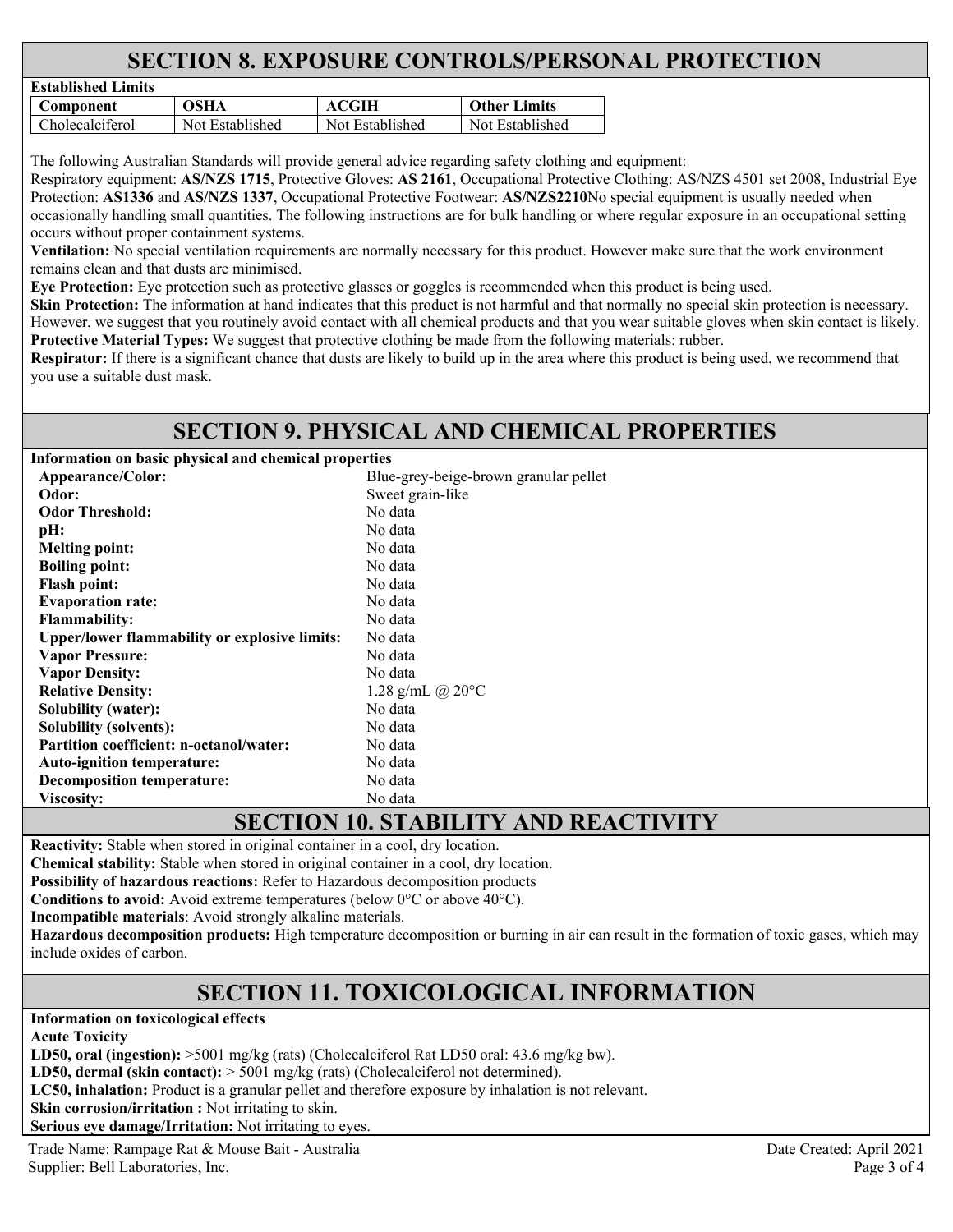# **SECTION 8. EXPOSURE CONTROLS/PERSONAL PROTECTION**

| Established Limits |                 |                 |                     |
|--------------------|-----------------|-----------------|---------------------|
| Component          | OSHA            | ACGIH           | <b>Other Limits</b> |
| Cholecalciferol    | Not Established | Not Established | Not Established     |

The following Australian Standards will provide general advice regarding safety clothing and equipment:

Respiratory equipment: **AS/NZS 1715**, Protective Gloves: **AS 2161**, Occupational Protective Clothing: AS/NZS 4501 set 2008, Industrial Eye Protection: **AS1336** and **AS/NZS 1337**, Occupational Protective Footwear: **AS/NZS2210**No special equipment is usually needed when occasionally handling small quantities. The following instructions are for bulk handling or where regular exposure in an occupational setting occurs without proper containment systems.

**Ventilation:** No special ventilation requirements are normally necessary for this product. However make sure that the work environment remains clean and that dusts are minimised.

**Eye Protection:** Eye protection such as protective glasses or goggles is recommended when this product is being used.

**Skin Protection:** The information at hand indicates that this product is not harmful and that normally no special skin protection is necessary. However, we suggest that you routinely avoid contact with all chemical products and that you wear suitable gloves when skin contact is likely. **Protective Material Types:** We suggest that protective clothing be made from the following materials: rubber.

**Respirator:** If there is a significant chance that dusts are likely to build up in the area where this product is being used, we recommend that you use a suitable dust mask.

### **SECTION 9. PHYSICAL AND CHEMICAL PROPERTIES**

**Information on basic physical and chemical properties** 

**Established Limits** 

| Appearance/Color:                                    | Blue-grey-beige-brown granular pellet                                                                                                                                                                                                                                                                                                                                                |
|------------------------------------------------------|--------------------------------------------------------------------------------------------------------------------------------------------------------------------------------------------------------------------------------------------------------------------------------------------------------------------------------------------------------------------------------------|
| Odor:                                                | Sweet grain-like                                                                                                                                                                                                                                                                                                                                                                     |
| <b>Odor Threshold:</b>                               | No data                                                                                                                                                                                                                                                                                                                                                                              |
| pH:                                                  | No data                                                                                                                                                                                                                                                                                                                                                                              |
| <b>Melting point:</b>                                | No data                                                                                                                                                                                                                                                                                                                                                                              |
| <b>Boiling point:</b>                                | No data                                                                                                                                                                                                                                                                                                                                                                              |
| <b>Flash point:</b>                                  | No data                                                                                                                                                                                                                                                                                                                                                                              |
| <b>Evaporation rate:</b>                             | No data                                                                                                                                                                                                                                                                                                                                                                              |
| <b>Flammability:</b>                                 | No data                                                                                                                                                                                                                                                                                                                                                                              |
| <b>Upper/lower flammability or explosive limits:</b> | No data                                                                                                                                                                                                                                                                                                                                                                              |
| <b>Vapor Pressure:</b>                               | No data                                                                                                                                                                                                                                                                                                                                                                              |
| <b>Vapor Density:</b>                                | No data                                                                                                                                                                                                                                                                                                                                                                              |
| <b>Relative Density:</b>                             | 1.28 g/mL @ $20^{\circ}$ C                                                                                                                                                                                                                                                                                                                                                           |
| <b>Solubility (water):</b>                           | No data                                                                                                                                                                                                                                                                                                                                                                              |
| <b>Solubility (solvents):</b>                        | No data                                                                                                                                                                                                                                                                                                                                                                              |
| <b>Partition coefficient: n-octanol/water:</b>       | No data                                                                                                                                                                                                                                                                                                                                                                              |
| <b>Auto-ignition temperature:</b>                    | No data                                                                                                                                                                                                                                                                                                                                                                              |
| Decomposition temperature:                           | No data                                                                                                                                                                                                                                                                                                                                                                              |
| Viscosity:                                           | No data                                                                                                                                                                                                                                                                                                                                                                              |
|                                                      | $\overline{C}$ $\overline{C}$ $\overline{C}$ $\overline{C}$ $\overline{C}$ $\overline{C}$ $\overline{C}$ $\overline{C}$ $\overline{C}$ $\overline{C}$ $\overline{C}$ $\overline{C}$ $\overline{C}$ $\overline{C}$ $\overline{C}$ $\overline{C}$ $\overline{C}$ $\overline{C}$ $\overline{C}$ $\overline{C}$ $\overline{C}$ $\overline{C}$ $\overline{C}$ $\overline{C}$ $\overline{$ |

# **SECTION 10. STABILITY AND REACTIVITY**

**Reactivity:** Stable when stored in original container in a cool, dry location.

**Chemical stability:** Stable when stored in original container in a cool, dry location.

**Possibility of hazardous reactions:** Refer to Hazardous decomposition products

**Conditions to avoid:** Avoid extreme temperatures (below 0°C or above 40°C).

**Incompatible materials**: Avoid strongly alkaline materials.

**Hazardous decomposition products:** High temperature decomposition or burning in air can result in the formation of toxic gases, which may include oxides of carbon.

# **SECTION 11. TOXICOLOGICAL INFORMATION**

**Information on toxicological effects** 

**Acute Toxicity** 

LD50, oral (ingestion):  $>5001$  mg/kg (rats) (Cholecalciferol Rat LD50 oral: 43.6 mg/kg bw).

**LD50, dermal (skin contact):** > 5001 mg/kg (rats) (Cholecalciferol not determined).

**LC50, inhalation:** Product is a granular pellet and therefore exposure by inhalation is not relevant.

**Skin corrosion/irritation :** Not irritating to skin.

**Serious eye damage/Irritation:** Not irritating to eyes.

Trade Name: Rampage Rat & Mouse Bait - Australia Date Created: April 2021 Supplier: Bell Laboratories, Inc. Page 3 of 4